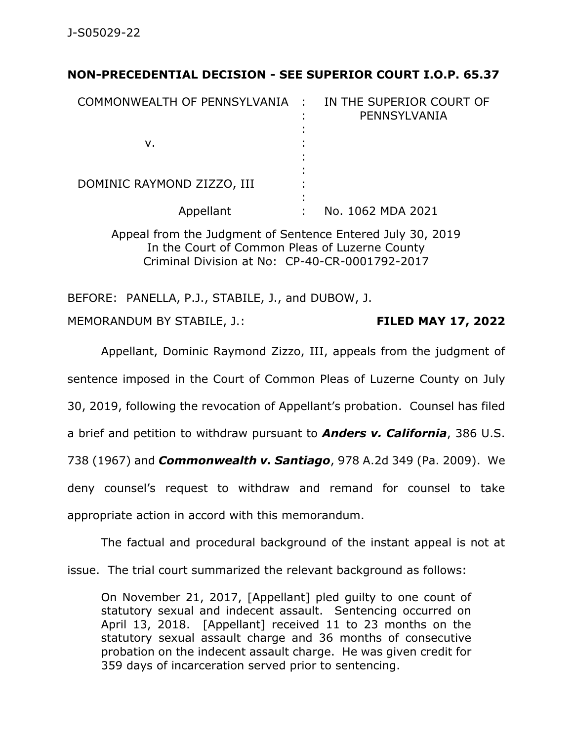## **NON-PRECEDENTIAL DECISION - SEE SUPERIOR COURT I.O.P. 65.37**

| COMMONWEALTH OF PENNSYLVANIA : | IN THE SUPERIOR COURT OF<br>PENNSYLVANIA |
|--------------------------------|------------------------------------------|
| v.                             |                                          |
| DOMINIC RAYMOND ZIZZO, III     |                                          |
| Appellant                      | No. 1062 MDA 2021                        |

Appeal from the Judgment of Sentence Entered July 30, 2019 In the Court of Common Pleas of Luzerne County Criminal Division at No: CP-40-CR-0001792-2017

BEFORE: PANELLA, P.J., STABILE, J., and DUBOW, J.

MEMORANDUM BY STABILE, J.: **FILED MAY 17, 2022**

Appellant, Dominic Raymond Zizzo, III, appeals from the judgment of

sentence imposed in the Court of Common Pleas of Luzerne County on July

30, 2019, following the revocation of Appellant's probation. Counsel has filed

a brief and petition to withdraw pursuant to *Anders v. California*, 386 U.S.

738 (1967) and *Commonwealth v. Santiago*, 978 A.2d 349 (Pa. 2009). We

deny counsel's request to withdraw and remand for counsel to take

appropriate action in accord with this memorandum.

The factual and procedural background of the instant appeal is not at

issue. The trial court summarized the relevant background as follows:

On November 21, 2017, [Appellant] pled guilty to one count of statutory sexual and indecent assault. Sentencing occurred on April 13, 2018. [Appellant] received 11 to 23 months on the statutory sexual assault charge and 36 months of consecutive probation on the indecent assault charge. He was given credit for 359 days of incarceration served prior to sentencing.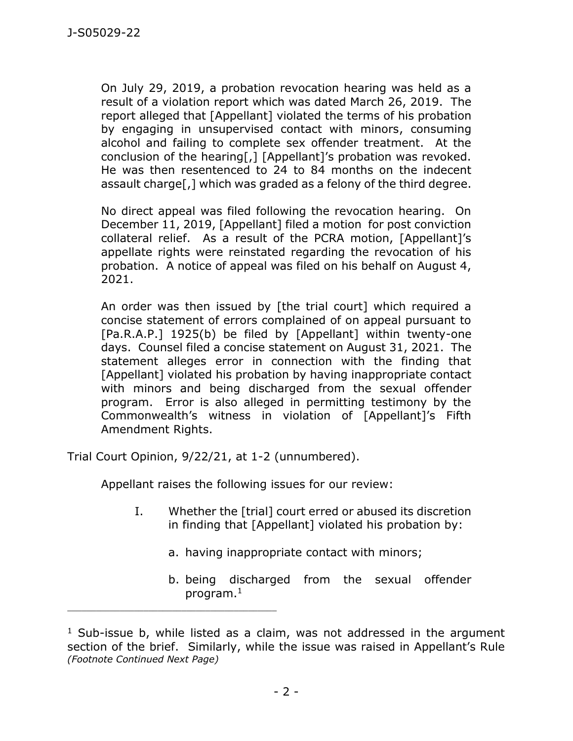On July 29, 2019, a probation revocation hearing was held as a result of a violation report which was dated March 26, 2019. The report alleged that [Appellant] violated the terms of his probation by engaging in unsupervised contact with minors, consuming alcohol and failing to complete sex offender treatment. At the conclusion of the hearing[,] [Appellant]'s probation was revoked. He was then resentenced to 24 to 84 months on the indecent assault charge[,] which was graded as a felony of the third degree.

No direct appeal was filed following the revocation hearing. On December 11, 2019, [Appellant] filed a motion for post conviction collateral relief. As a result of the PCRA motion, [Appellant]'s appellate rights were reinstated regarding the revocation of his probation. A notice of appeal was filed on his behalf on August 4, 2021.

An order was then issued by [the trial court] which required a concise statement of errors complained of on appeal pursuant to [Pa.R.A.P.] 1925(b) be filed by [Appellant] within twenty-one days. Counsel filed a concise statement on August 31, 2021. The statement alleges error in connection with the finding that [Appellant] violated his probation by having inappropriate contact with minors and being discharged from the sexual offender program. Error is also alleged in permitting testimony by the Commonwealth's witness in violation of [Appellant]'s Fifth Amendment Rights.

Trial Court Opinion, 9/22/21, at 1-2 (unnumbered).

\_\_\_\_\_\_\_\_\_\_\_\_\_\_\_\_\_\_\_\_\_\_\_\_\_\_\_\_\_\_\_\_\_\_\_\_\_\_\_\_\_\_\_\_

Appellant raises the following issues for our review:

- I. Whether the [trial] court erred or abused its discretion in finding that [Appellant] violated his probation by:
	- a. having inappropriate contact with minors;
	- b. being discharged from the sexual offender program.<sup>1</sup>

 $1$  Sub-issue b, while listed as a claim, was not addressed in the argument section of the brief. Similarly, while the issue was raised in Appellant's Rule *(Footnote Continued Next Page)*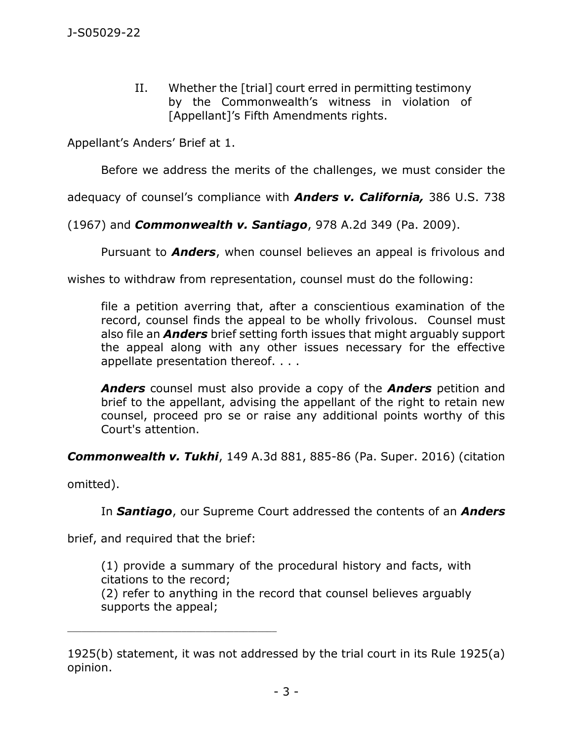II. Whether the [trial] court erred in permitting testimony by the Commonwealth's witness in violation of [Appellant]'s Fifth Amendments rights.

Appellant's Anders' Brief at 1.

Before we address the merits of the challenges, we must consider the

adequacy of counsel's compliance with *Anders v. California,* 386 U.S. 738

(1967) and *Commonwealth v. Santiago*, 978 A.2d 349 (Pa. 2009).

Pursuant to *Anders*, when counsel believes an appeal is frivolous and

wishes to withdraw from representation, counsel must do the following:

file a petition averring that, after a conscientious examination of the record, counsel finds the appeal to be wholly frivolous. Counsel must also file an *Anders* brief setting forth issues that might arguably support the appeal along with any other issues necessary for the effective appellate presentation thereof. . . .

*Anders* counsel must also provide a copy of the *Anders* petition and brief to the appellant, advising the appellant of the right to retain new counsel, proceed pro se or raise any additional points worthy of this Court's attention.

*Commonwealth v. Tukhi*, 149 A.3d 881, 885-86 (Pa. Super. 2016) (citation

omitted).

In *Santiago*, our Supreme Court addressed the contents of an *Anders*

brief, and required that the brief:

\_\_\_\_\_\_\_\_\_\_\_\_\_\_\_\_\_\_\_\_\_\_\_\_\_\_\_\_\_\_\_\_\_\_\_\_\_\_\_\_\_\_\_\_

(1) provide a summary of the procedural history and facts, with citations to the record;

(2) refer to anything in the record that counsel believes arguably supports the appeal;

<sup>1925(</sup>b) statement, it was not addressed by the trial court in its Rule 1925(a) opinion.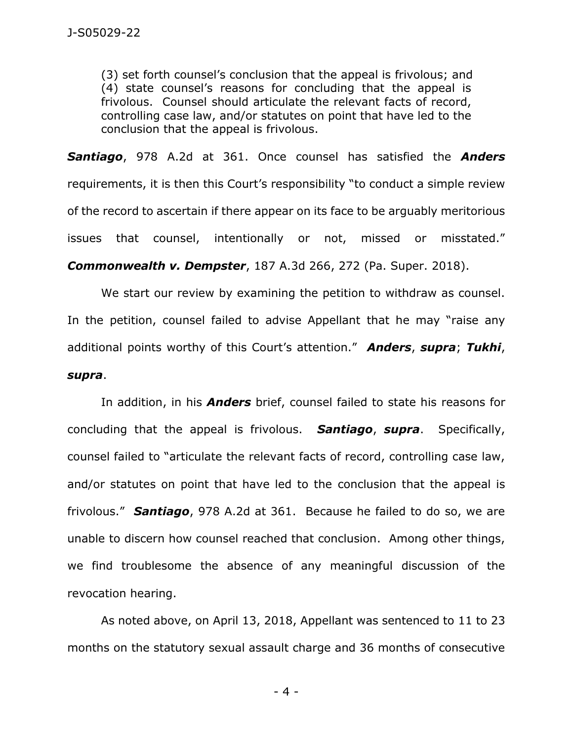(3) set forth counsel's conclusion that the appeal is frivolous; and (4) state counsel's reasons for concluding that the appeal is frivolous. Counsel should articulate the relevant facts of record, controlling case law, and/or statutes on point that have led to the conclusion that the appeal is frivolous.

*Santiago*, 978 A.2d at 361. Once counsel has satisfied the *Anders* requirements, it is then this Court's responsibility "to conduct a simple review of the record to ascertain if there appear on its face to be arguably meritorious issues that counsel, intentionally or not, missed or misstated." *Commonwealth v. Dempster*, 187 A.3d 266, 272 (Pa. Super. 2018).

We start our review by examining the petition to withdraw as counsel. In the petition, counsel failed to advise Appellant that he may "raise any additional points worthy of this Court's attention." *Anders*, *supra*; *Tukhi*, *supra*.

In addition, in his *Anders* brief, counsel failed to state his reasons for concluding that the appeal is frivolous. *Santiago*, *supra*. Specifically, counsel failed to "articulate the relevant facts of record, controlling case law, and/or statutes on point that have led to the conclusion that the appeal is frivolous." *Santiago*, 978 A.2d at 361. Because he failed to do so, we are unable to discern how counsel reached that conclusion. Among other things, we find troublesome the absence of any meaningful discussion of the revocation hearing.

As noted above, on April 13, 2018, Appellant was sentenced to 11 to 23 months on the statutory sexual assault charge and 36 months of consecutive

- 4 -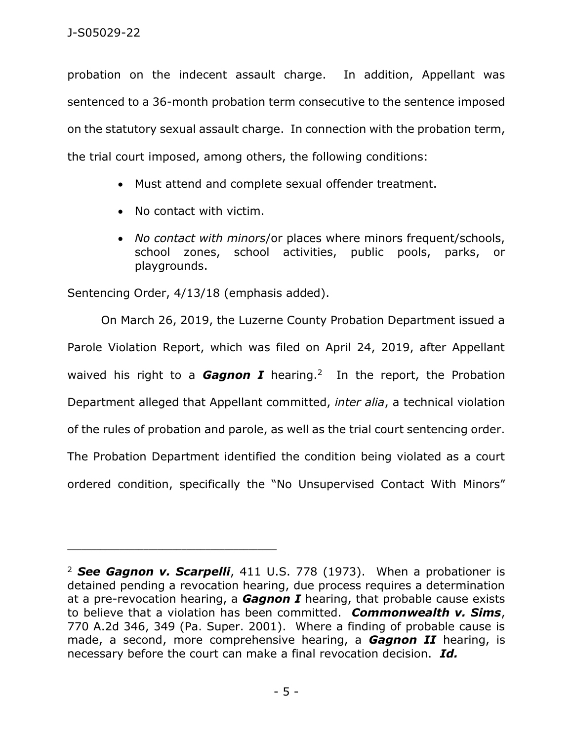probation on the indecent assault charge. In addition, Appellant was sentenced to a 36-month probation term consecutive to the sentence imposed on the statutory sexual assault charge. In connection with the probation term, the trial court imposed, among others, the following conditions:

- Must attend and complete sexual offender treatment.
- No contact with victim.
- *No contact with minors*/or places where minors frequent/schools, school zones, school activities, public pools, parks, or playgrounds.

Sentencing Order, 4/13/18 (emphasis added).

On March 26, 2019, the Luzerne County Probation Department issued a Parole Violation Report, which was filed on April 24, 2019, after Appellant waived his right to a **Gagnon I** hearing.<sup>2</sup> In the report, the Probation Department alleged that Appellant committed, *inter alia*, a technical violation of the rules of probation and parole, as well as the trial court sentencing order. The Probation Department identified the condition being violated as a court ordered condition, specifically the "No Unsupervised Contact With Minors"

<sup>2</sup> *See Gagnon v. Scarpelli*, 411 U.S. 778 (1973). When a probationer is detained pending a revocation hearing, due process requires a determination at a pre-revocation hearing, a *Gagnon I* hearing, that probable cause exists to believe that a violation has been committed. *Commonwealth v. Sims*, 770 A.2d 346, 349 (Pa. Super. 2001). Where a finding of probable cause is made, a second, more comprehensive hearing, a *Gagnon II* hearing, is necessary before the court can make a final revocation decision. *Id.*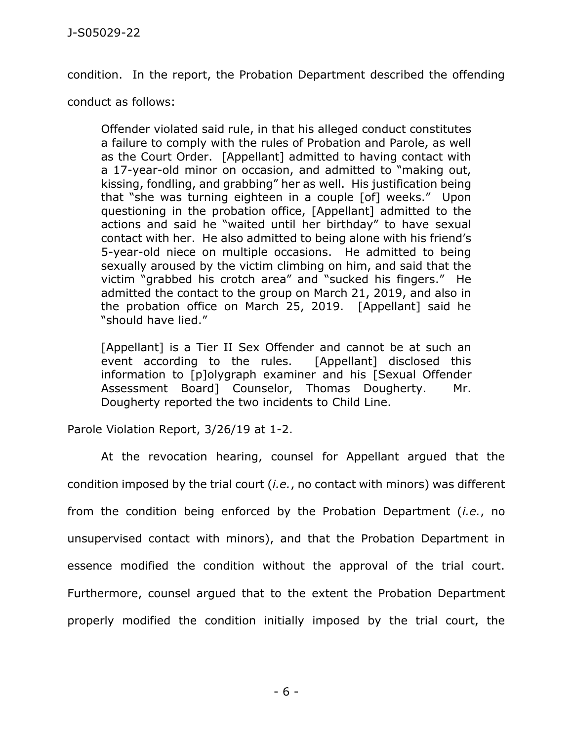condition. In the report, the Probation Department described the offending

conduct as follows:

Offender violated said rule, in that his alleged conduct constitutes a failure to comply with the rules of Probation and Parole, as well as the Court Order. [Appellant] admitted to having contact with a 17-year-old minor on occasion, and admitted to "making out, kissing, fondling, and grabbing" her as well. His justification being that "she was turning eighteen in a couple [of] weeks." Upon questioning in the probation office, [Appellant] admitted to the actions and said he "waited until her birthday" to have sexual contact with her. He also admitted to being alone with his friend's 5-year-old niece on multiple occasions. He admitted to being sexually aroused by the victim climbing on him, and said that the victim "grabbed his crotch area" and "sucked his fingers." He admitted the contact to the group on March 21, 2019, and also in the probation office on March 25, 2019. [Appellant] said he "should have lied."

[Appellant] is a Tier II Sex Offender and cannot be at such an event according to the rules. [Appellant] disclosed this information to [p]olygraph examiner and his [Sexual Offender Assessment Board] Counselor, Thomas Dougherty. Mr. Dougherty reported the two incidents to Child Line.

Parole Violation Report, 3/26/19 at 1-2.

At the revocation hearing, counsel for Appellant argued that the condition imposed by the trial court (*i.e.*, no contact with minors) was different from the condition being enforced by the Probation Department (*i.e.*, no unsupervised contact with minors), and that the Probation Department in essence modified the condition without the approval of the trial court. Furthermore, counsel argued that to the extent the Probation Department properly modified the condition initially imposed by the trial court, the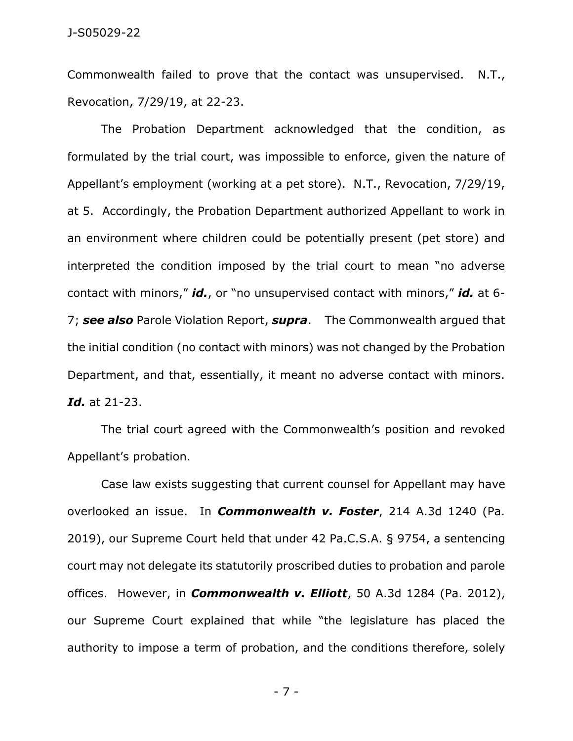Commonwealth failed to prove that the contact was unsupervised. N.T., Revocation, 7/29/19, at 22-23.

The Probation Department acknowledged that the condition, as formulated by the trial court, was impossible to enforce, given the nature of Appellant's employment (working at a pet store). N.T., Revocation, 7/29/19, at 5. Accordingly, the Probation Department authorized Appellant to work in an environment where children could be potentially present (pet store) and interpreted the condition imposed by the trial court to mean "no adverse contact with minors," *id.*, or "no unsupervised contact with minors," *id.* at 6- 7; *see also* Parole Violation Report, *supra*. The Commonwealth argued that the initial condition (no contact with minors) was not changed by the Probation Department, and that, essentially, it meant no adverse contact with minors. *Id.* at 21-23.

The trial court agreed with the Commonwealth's position and revoked Appellant's probation.

Case law exists suggesting that current counsel for Appellant may have overlooked an issue. In *Commonwealth v. Foster*, 214 A.3d 1240 (Pa. 2019), our Supreme Court held that under 42 Pa.C.S.A. § 9754, a sentencing court may not delegate its statutorily proscribed duties to probation and parole offices. However, in *Commonwealth v. Elliott*, 50 A.3d 1284 (Pa. 2012), our Supreme Court explained that while "the legislature has placed the authority to impose a term of probation, and the conditions therefore, solely

- 7 -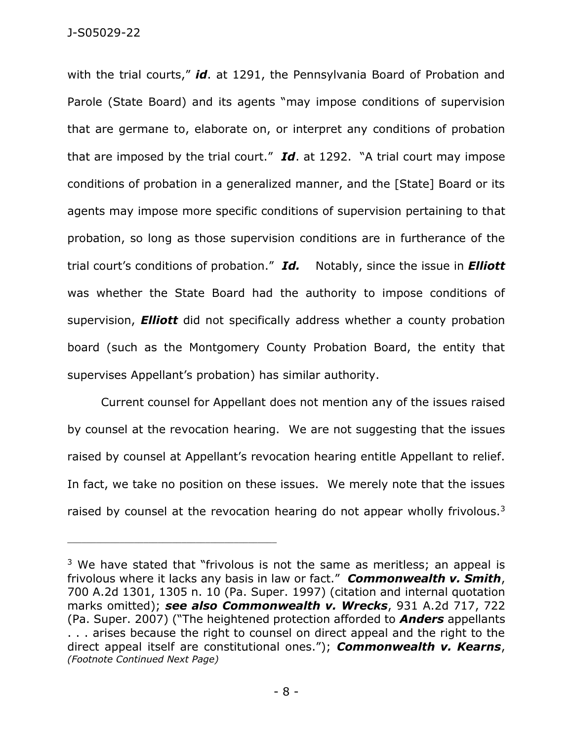with the trial courts," *id*. at 1291, the Pennsylvania Board of Probation and Parole (State Board) and its agents "may impose conditions of supervision that are germane to, elaborate on, or interpret any conditions of probation that are imposed by the trial court." *Id*. at 1292. "A trial court may impose conditions of probation in a generalized manner, and the [State] Board or its agents may impose more specific conditions of supervision pertaining to that probation, so long as those supervision conditions are in furtherance of the trial court's conditions of probation." *Id.* Notably, since the issue in *Elliott* was whether the State Board had the authority to impose conditions of supervision, *Elliott* did not specifically address whether a county probation board (such as the Montgomery County Probation Board, the entity that supervises Appellant's probation) has similar authority.

Current counsel for Appellant does not mention any of the issues raised by counsel at the revocation hearing. We are not suggesting that the issues raised by counsel at Appellant's revocation hearing entitle Appellant to relief. In fact, we take no position on these issues. We merely note that the issues raised by counsel at the revocation hearing do not appear wholly frivolous. $3$ 

<sup>&</sup>lt;sup>3</sup> We have stated that "frivolous is not the same as meritless; an appeal is frivolous where it lacks any basis in law or fact." *Commonwealth v. Smith*, 700 A.2d 1301, 1305 n. 10 (Pa. Super. 1997) (citation and internal quotation marks omitted); *see also Commonwealth v. Wrecks*, 931 A.2d 717, 722 (Pa. Super. 2007) ("The heightened protection afforded to *Anders* appellants . . . arises because the right to counsel on direct appeal and the right to the direct appeal itself are constitutional ones."); *Commonwealth v. Kearns*, *(Footnote Continued Next Page)*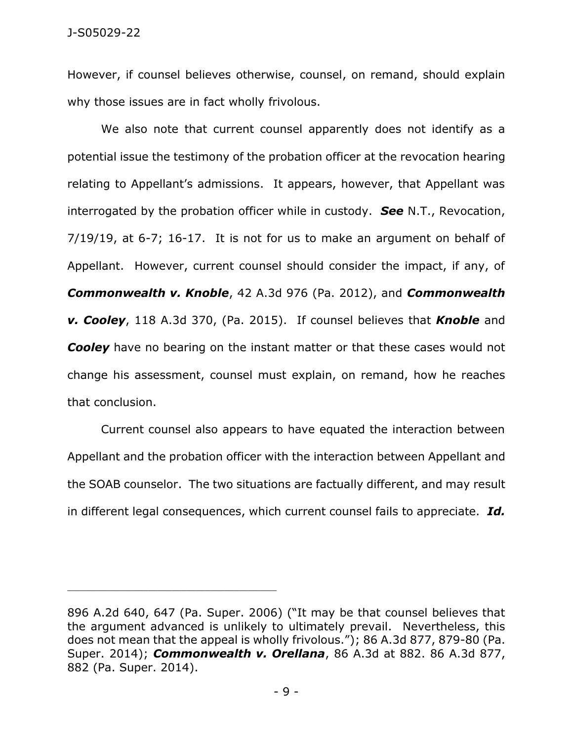However, if counsel believes otherwise, counsel, on remand, should explain why those issues are in fact wholly frivolous.

We also note that current counsel apparently does not identify as a potential issue the testimony of the probation officer at the revocation hearing relating to Appellant's admissions. It appears, however, that Appellant was interrogated by the probation officer while in custody. *See* N.T., Revocation, 7/19/19, at 6-7; 16-17. It is not for us to make an argument on behalf of Appellant. However, current counsel should consider the impact, if any, of *Commonwealth v. Knoble*, 42 A.3d 976 (Pa. 2012), and *Commonwealth v. Cooley*, 118 A.3d 370, (Pa. 2015). If counsel believes that *Knoble* and **Cooley** have no bearing on the instant matter or that these cases would not change his assessment, counsel must explain, on remand, how he reaches that conclusion.

Current counsel also appears to have equated the interaction between Appellant and the probation officer with the interaction between Appellant and the SOAB counselor. The two situations are factually different, and may result in different legal consequences, which current counsel fails to appreciate. *Id.*

\_\_\_\_\_\_\_\_\_\_\_\_\_\_\_\_\_\_\_\_\_\_\_\_\_\_\_\_\_\_\_\_\_\_\_\_\_\_\_\_\_\_\_\_

<sup>896</sup> A.2d 640, 647 (Pa. Super. 2006) ("It may be that counsel believes that the argument advanced is unlikely to ultimately prevail. Nevertheless, this does not mean that the appeal is wholly frivolous."); 86 A.3d 877, 879-80 (Pa. Super. 2014); *Commonwealth v. Orellana*, 86 A.3d at 882. 86 A.3d 877, 882 (Pa. Super. 2014).